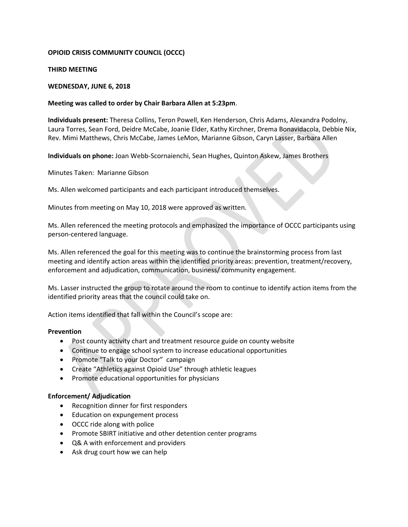# OPIOID CRISIS COMMUNITY COUNCIL (OCCC)

## THIRD MEETING

### WEDNESDAY, JUNE 6, 2018

### Meeting was called to order by Chair Barbara Allen at 5:23pm.

Individuals present: Theresa Collins, Teron Powell, Ken Henderson, Chris Adams, Alexandra Podolny, Laura Torres, Sean Ford, Deidre McCabe, Joanie Elder, Kathy Kirchner, Drema Bonavidacola, Debbie Nix, Rev. Mimi Matthews, Chris McCabe, James LeMon, Marianne Gibson, Caryn Lasser, Barbara Allen

Individuals on phone: Joan Webb-Scornaienchi, Sean Hughes, Quinton Askew, James Brothers

Minutes Taken: Marianne Gibson

Ms. Allen welcomed participants and each participant introduced themselves.

Minutes from meeting on May 10, 2018 were approved as written.

Ms. Allen referenced the meeting protocols and emphasized the importance of OCCC participants using person-centered language.

Ms. Allen referenced the goal for this meeting was to continue the brainstorming process from last meeting and identify action areas within the identified priority areas: prevention, treatment/recovery, enforcement and adjudication, communication, business/ community engagement.

Ms. Lasser instructed the group to rotate around the room to continue to identify action items from the identified priority areas that the council could take on.

Action items identified that fall within the Council's scope are:

#### **Prevention**

- Post county activity chart and treatment resource guide on county website
- Continue to engage school system to increase educational opportunities
- Promote "Talk to your Doctor" campaign
- Create "Athletics against Opioid Use" through athletic leagues
- Promote educational opportunities for physicians

#### Enforcement/ Adjudication

- Recognition dinner for first responders
- Education on expungement process
- OCCC ride along with police
- Promote SBIRT initiative and other detention center programs
- Q& A with enforcement and providers
- Ask drug court how we can help